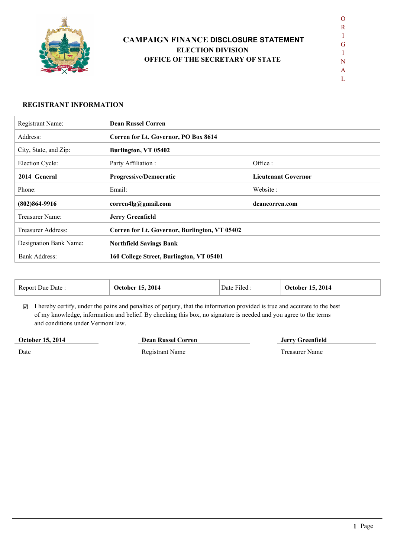

# **CAMPAIGN FINANCE DISCLOSURE STATEMENT ELECTION DIVISION OFFICE OF THE SECRETARY OF STATE**

 $\mathbf{L}$ 

#### **REGISTRANT INFORMATION**

| Registrant Name:       | <b>Dean Russel Corren</b>                |                                               |  |  |  |
|------------------------|------------------------------------------|-----------------------------------------------|--|--|--|
| Address:               |                                          | Corren for Lt. Governor, PO Box 8614          |  |  |  |
| City, State, and Zip:  | Burlington, VT 05402                     |                                               |  |  |  |
| Election Cycle:        | Party Affiliation :                      | Office:                                       |  |  |  |
| 2014 General           | <b>Progressive/Democratic</b>            | <b>Lieutenant Governor</b>                    |  |  |  |
| Phone:                 | Email:                                   | Website:                                      |  |  |  |
| $(802)864-9916$        | corren4lg@gmail.com                      | deancorren.com                                |  |  |  |
| Treasurer Name:        | <b>Jerry Greenfield</b>                  |                                               |  |  |  |
| Treasurer Address:     |                                          | Corren for Lt. Governor, Burlington, VT 05402 |  |  |  |
| Designation Bank Name: | <b>Northfield Savings Bank</b>           |                                               |  |  |  |
| <b>Bank Address:</b>   | 160 College Street, Burlington, VT 05401 |                                               |  |  |  |

| Report Due Date: | <b>October 15, 2014</b> | $\sim$<br>Date Filed | 2014<br>October 15. |
|------------------|-------------------------|----------------------|---------------------|
|------------------|-------------------------|----------------------|---------------------|

 $\boxtimes$  I hereby certify, under the pains and penalties of perjury, that the information provided is true and accurate to the best of my knowledge, information and belief. By checking this box, no signature is needed and you agree to the terms and conditions under Vermont law.

### **October 15, 2014**

**Dean Russel Corren Jerry Greenfield**

Date

Registrant Name Treasurer Name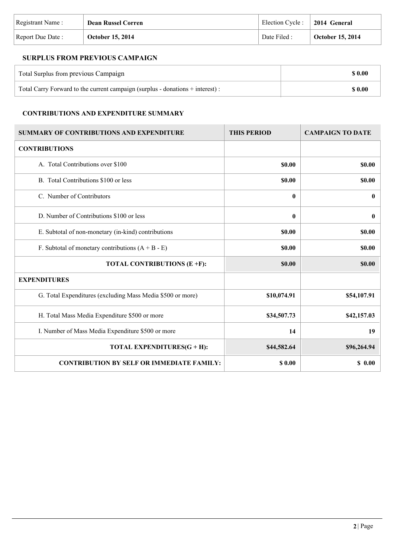| Registrant Name:  | <b>Dean Russel Corren</b> | Election Cycle :   2014 General |                         |
|-------------------|---------------------------|---------------------------------|-------------------------|
| Report Due Date : | October 15, 2014          | Date Filed :                    | <b>October 15, 2014</b> |

# **SURPLUS FROM PREVIOUS CAMPAIGN**

| Total Surplus from previous Campaign                                           | \$ 0.00 |
|--------------------------------------------------------------------------------|---------|
| Total Carry Forward to the current campaign (surplus - donations + interest) : | \$ 0.00 |

# **CONTRIBUTIONS AND EXPENDITURE SUMMARY**

| <b>SUMMARY OF CONTRIBUTIONS AND EXPENDITURE</b>            | <b>THIS PERIOD</b> | <b>CAMPAIGN TO DATE</b> |
|------------------------------------------------------------|--------------------|-------------------------|
| <b>CONTRIBUTIONS</b>                                       |                    |                         |
| A. Total Contributions over \$100                          | \$0.00             | \$0.00                  |
| B. Total Contributions \$100 or less                       | \$0.00             | \$0.00                  |
| C. Number of Contributors                                  | 0                  | $\bf{0}$                |
| D. Number of Contributions \$100 or less                   | $\bf{0}$           | $\bf{0}$                |
| E. Subtotal of non-monetary (in-kind) contributions        | \$0.00             | \$0.00                  |
| F. Subtotal of monetary contributions $(A + B - E)$        | <b>SO.00</b>       | <b>SO.00</b>            |
| TOTAL CONTRIBUTIONS (E +F):                                | \$0.00             | \$0.00                  |
| <b>EXPENDITURES</b>                                        |                    |                         |
| G. Total Expenditures (excluding Mass Media \$500 or more) | \$10,074.91        | \$54,107.91             |
| H. Total Mass Media Expenditure \$500 or more              | \$34,507.73        | \$42,157.03             |
| I. Number of Mass Media Expenditure \$500 or more          | 14                 | 19                      |
| TOTAL EXPENDITURES(G + H):                                 | \$44,582.64        | \$96,264.94             |
| <b>CONTRIBUTION BY SELF OR IMMEDIATE FAMILY:</b>           | \$0.00             | \$0.00                  |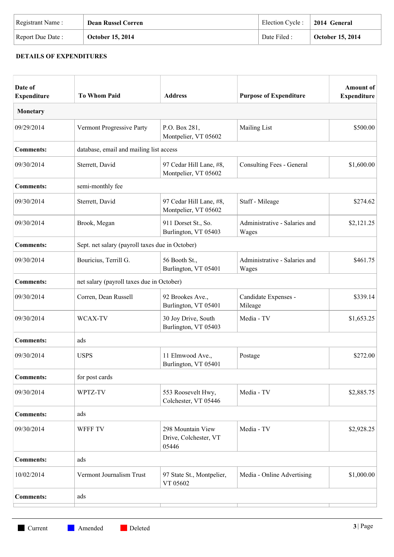| Registrant Name: | <b>Dean Russel Corren</b> | Election Cycle : $\vert$ 2014 General |                  |
|------------------|---------------------------|---------------------------------------|------------------|
| Report Due Date: | <b>October 15, 2014</b>   | Date Filed :                          | October 15, 2014 |

## **DETAILS OF EXPENDITURES**

| Date of<br><b>Expenditure</b> | <b>To Whom Paid</b>                             | <b>Address</b>                                      | <b>Purpose of Expenditure</b>          | <b>Amount</b> of<br><b>Expenditure</b> |
|-------------------------------|-------------------------------------------------|-----------------------------------------------------|----------------------------------------|----------------------------------------|
| Monetary                      |                                                 |                                                     |                                        |                                        |
| 09/29/2014                    | Vermont Progressive Party                       | P.O. Box 281,<br>Montpelier, VT 05602               | <b>Mailing List</b>                    | \$500.00                               |
| <b>Comments:</b>              | database, email and mailing list access         |                                                     |                                        |                                        |
| 09/30/2014                    | Sterrett, David                                 | 97 Cedar Hill Lane, #8,<br>Montpelier, VT 05602     | Consulting Fees - General              | \$1,600.00                             |
| <b>Comments:</b>              | semi-monthly fee                                |                                                     |                                        |                                        |
| 09/30/2014                    | Sterrett, David                                 | 97 Cedar Hill Lane, #8,<br>Montpelier, VT 05602     | Staff - Mileage                        | \$274.62                               |
| 09/30/2014                    | Brook, Megan                                    | 911 Dorset St., So.<br>Burlington, VT 05403         | Administrative - Salaries and<br>Wages | \$2,121.25                             |
| <b>Comments:</b>              | Sept. net salary (payroll taxes due in October) |                                                     |                                        |                                        |
| 09/30/2014                    | Bouricius, Terrill G.                           | 56 Booth St.,<br>Burlington, VT 05401               | Administrative - Salaries and<br>Wages | \$461.75                               |
| <b>Comments:</b>              | net salary (payroll taxes due in October)       |                                                     |                                        |                                        |
| 09/30/2014                    | Corren, Dean Russell                            | 92 Brookes Ave.,<br>Burlington, VT 05401            | Candidate Expenses -<br>Mileage        | \$339.14                               |
| 09/30/2014                    | WCAX-TV                                         | 30 Joy Drive, South<br>Burlington, VT 05403         | Media - TV                             | \$1,653.25                             |
| <b>Comments:</b>              | ads                                             |                                                     |                                        |                                        |
| 09/30/2014                    | <b>USPS</b>                                     | 11 Elmwood Ave.,<br>Burlington, VT 05401            | Postage                                | \$272.00                               |
| <b>Comments:</b>              | for post cards                                  |                                                     |                                        |                                        |
| 09/30/2014                    | WPTZ-TV                                         | 553 Roosevelt Hwy,<br>Colchester, VT 05446          | Media - TV                             | \$2,885.75                             |
| <b>Comments:</b>              | ads                                             |                                                     |                                        |                                        |
| 09/30/2014                    | WFFF TV                                         | 298 Mountain View<br>Drive, Colchester, VT<br>05446 | Media - TV                             | \$2,928.25                             |
| <b>Comments:</b>              | ads                                             |                                                     |                                        |                                        |
| 10/02/2014                    | Vermont Journalism Trust                        | 97 State St., Montpelier,<br>VT 05602               | Media - Online Advertising             | \$1,000.00                             |
| <b>Comments:</b>              | ads                                             |                                                     |                                        |                                        |
|                               |                                                 |                                                     |                                        |                                        |

**Current Amended** Deleted **3** | Page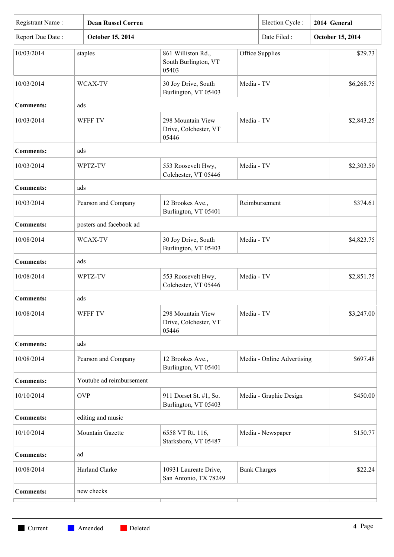| Date Filed:<br>Report Due Date:<br>October 15, 2014<br>October 15, 2014<br>Office Supplies<br>10/03/2014<br>staples<br>861 Williston Rd.,<br>South Burlington, VT<br>05403<br>Media - TV<br>10/03/2014<br>WCAX-TV<br>30 Joy Drive, South<br>Burlington, VT 05403<br><b>Comments:</b><br>ads<br>298 Mountain View<br>Media - TV<br>10/03/2014<br><b>WFFF TV</b><br>Drive, Colchester, VT<br>05446<br><b>Comments:</b><br>ads<br>10/03/2014<br>Media - TV<br>WPTZ-TV<br>553 Roosevelt Hwy,<br>Colchester, VT 05446<br>ads<br><b>Comments:</b><br>10/03/2014<br>Pearson and Company<br>12 Brookes Ave.,<br>Reimbursement<br>\$374.61<br>Burlington, VT 05401<br>posters and facebook ad<br><b>Comments:</b><br>30 Joy Drive, South<br>Media - TV<br>10/08/2014<br>WCAX-TV<br>Burlington, VT 05403<br><b>Comments:</b><br>ads<br>10/08/2014<br>553 Roosevelt Hwy,<br>Media - TV<br>WPTZ-TV<br>\$2,851.75<br>Colchester, VT 05446<br><b>Comments:</b><br>ads<br>298 Mountain View<br>10/08/2014<br>WFFF TV<br>Media - TV<br>Drive, Colchester, VT<br>05446<br>ads<br><b>Comments:</b><br>\$697.48<br>10/08/2014<br>Pearson and Company<br>12 Brookes Ave.,<br>Media - Online Advertising<br>Burlington, VT 05401<br>Youtube ad reimbursement<br><b>Comments:</b><br>10/10/2014<br><b>OVP</b><br>911 Dorset St. #1, So.<br>Media - Graphic Design<br>Burlington, VT 05403<br>editing and music<br><b>Comments:</b><br>10/10/2014<br>Mountain Gazette<br>6558 VT Rt. 116,<br>Media - Newspaper<br>Starksboro, VT 05487<br>ad<br><b>Comments:</b><br>10/08/2014<br>Harland Clarke<br>10931 Laureate Drive,<br><b>Bank Charges</b><br>San Antonio, TX 78249<br><b>Comments:</b><br>new checks | Registrant Name:<br><b>Dean Russel Corren</b> |  |  | Election Cycle: | 2014 General |            |
|--------------------------------------------------------------------------------------------------------------------------------------------------------------------------------------------------------------------------------------------------------------------------------------------------------------------------------------------------------------------------------------------------------------------------------------------------------------------------------------------------------------------------------------------------------------------------------------------------------------------------------------------------------------------------------------------------------------------------------------------------------------------------------------------------------------------------------------------------------------------------------------------------------------------------------------------------------------------------------------------------------------------------------------------------------------------------------------------------------------------------------------------------------------------------------------------------------------------------------------------------------------------------------------------------------------------------------------------------------------------------------------------------------------------------------------------------------------------------------------------------------------------------------------------------------------------------------------------------------------------------------------------------------------------------------------|-----------------------------------------------|--|--|-----------------|--------------|------------|
|                                                                                                                                                                                                                                                                                                                                                                                                                                                                                                                                                                                                                                                                                                                                                                                                                                                                                                                                                                                                                                                                                                                                                                                                                                                                                                                                                                                                                                                                                                                                                                                                                                                                                      |                                               |  |  |                 |              |            |
|                                                                                                                                                                                                                                                                                                                                                                                                                                                                                                                                                                                                                                                                                                                                                                                                                                                                                                                                                                                                                                                                                                                                                                                                                                                                                                                                                                                                                                                                                                                                                                                                                                                                                      |                                               |  |  |                 |              | \$29.73    |
|                                                                                                                                                                                                                                                                                                                                                                                                                                                                                                                                                                                                                                                                                                                                                                                                                                                                                                                                                                                                                                                                                                                                                                                                                                                                                                                                                                                                                                                                                                                                                                                                                                                                                      |                                               |  |  |                 |              | \$6,268.75 |
|                                                                                                                                                                                                                                                                                                                                                                                                                                                                                                                                                                                                                                                                                                                                                                                                                                                                                                                                                                                                                                                                                                                                                                                                                                                                                                                                                                                                                                                                                                                                                                                                                                                                                      |                                               |  |  |                 |              |            |
|                                                                                                                                                                                                                                                                                                                                                                                                                                                                                                                                                                                                                                                                                                                                                                                                                                                                                                                                                                                                                                                                                                                                                                                                                                                                                                                                                                                                                                                                                                                                                                                                                                                                                      |                                               |  |  |                 |              | \$2,843.25 |
|                                                                                                                                                                                                                                                                                                                                                                                                                                                                                                                                                                                                                                                                                                                                                                                                                                                                                                                                                                                                                                                                                                                                                                                                                                                                                                                                                                                                                                                                                                                                                                                                                                                                                      |                                               |  |  |                 |              |            |
|                                                                                                                                                                                                                                                                                                                                                                                                                                                                                                                                                                                                                                                                                                                                                                                                                                                                                                                                                                                                                                                                                                                                                                                                                                                                                                                                                                                                                                                                                                                                                                                                                                                                                      |                                               |  |  |                 |              | \$2,303.50 |
|                                                                                                                                                                                                                                                                                                                                                                                                                                                                                                                                                                                                                                                                                                                                                                                                                                                                                                                                                                                                                                                                                                                                                                                                                                                                                                                                                                                                                                                                                                                                                                                                                                                                                      |                                               |  |  |                 |              |            |
|                                                                                                                                                                                                                                                                                                                                                                                                                                                                                                                                                                                                                                                                                                                                                                                                                                                                                                                                                                                                                                                                                                                                                                                                                                                                                                                                                                                                                                                                                                                                                                                                                                                                                      |                                               |  |  |                 |              |            |
|                                                                                                                                                                                                                                                                                                                                                                                                                                                                                                                                                                                                                                                                                                                                                                                                                                                                                                                                                                                                                                                                                                                                                                                                                                                                                                                                                                                                                                                                                                                                                                                                                                                                                      |                                               |  |  |                 |              |            |
|                                                                                                                                                                                                                                                                                                                                                                                                                                                                                                                                                                                                                                                                                                                                                                                                                                                                                                                                                                                                                                                                                                                                                                                                                                                                                                                                                                                                                                                                                                                                                                                                                                                                                      |                                               |  |  |                 |              | \$4,823.75 |
|                                                                                                                                                                                                                                                                                                                                                                                                                                                                                                                                                                                                                                                                                                                                                                                                                                                                                                                                                                                                                                                                                                                                                                                                                                                                                                                                                                                                                                                                                                                                                                                                                                                                                      |                                               |  |  |                 |              |            |
|                                                                                                                                                                                                                                                                                                                                                                                                                                                                                                                                                                                                                                                                                                                                                                                                                                                                                                                                                                                                                                                                                                                                                                                                                                                                                                                                                                                                                                                                                                                                                                                                                                                                                      |                                               |  |  |                 |              |            |
|                                                                                                                                                                                                                                                                                                                                                                                                                                                                                                                                                                                                                                                                                                                                                                                                                                                                                                                                                                                                                                                                                                                                                                                                                                                                                                                                                                                                                                                                                                                                                                                                                                                                                      |                                               |  |  |                 |              |            |
|                                                                                                                                                                                                                                                                                                                                                                                                                                                                                                                                                                                                                                                                                                                                                                                                                                                                                                                                                                                                                                                                                                                                                                                                                                                                                                                                                                                                                                                                                                                                                                                                                                                                                      |                                               |  |  |                 |              | \$3,247.00 |
|                                                                                                                                                                                                                                                                                                                                                                                                                                                                                                                                                                                                                                                                                                                                                                                                                                                                                                                                                                                                                                                                                                                                                                                                                                                                                                                                                                                                                                                                                                                                                                                                                                                                                      |                                               |  |  |                 |              |            |
|                                                                                                                                                                                                                                                                                                                                                                                                                                                                                                                                                                                                                                                                                                                                                                                                                                                                                                                                                                                                                                                                                                                                                                                                                                                                                                                                                                                                                                                                                                                                                                                                                                                                                      |                                               |  |  |                 |              |            |
|                                                                                                                                                                                                                                                                                                                                                                                                                                                                                                                                                                                                                                                                                                                                                                                                                                                                                                                                                                                                                                                                                                                                                                                                                                                                                                                                                                                                                                                                                                                                                                                                                                                                                      |                                               |  |  |                 |              |            |
|                                                                                                                                                                                                                                                                                                                                                                                                                                                                                                                                                                                                                                                                                                                                                                                                                                                                                                                                                                                                                                                                                                                                                                                                                                                                                                                                                                                                                                                                                                                                                                                                                                                                                      |                                               |  |  |                 |              | \$450.00   |
|                                                                                                                                                                                                                                                                                                                                                                                                                                                                                                                                                                                                                                                                                                                                                                                                                                                                                                                                                                                                                                                                                                                                                                                                                                                                                                                                                                                                                                                                                                                                                                                                                                                                                      |                                               |  |  |                 |              |            |
|                                                                                                                                                                                                                                                                                                                                                                                                                                                                                                                                                                                                                                                                                                                                                                                                                                                                                                                                                                                                                                                                                                                                                                                                                                                                                                                                                                                                                                                                                                                                                                                                                                                                                      |                                               |  |  |                 |              | \$150.77   |
|                                                                                                                                                                                                                                                                                                                                                                                                                                                                                                                                                                                                                                                                                                                                                                                                                                                                                                                                                                                                                                                                                                                                                                                                                                                                                                                                                                                                                                                                                                                                                                                                                                                                                      |                                               |  |  |                 |              |            |
|                                                                                                                                                                                                                                                                                                                                                                                                                                                                                                                                                                                                                                                                                                                                                                                                                                                                                                                                                                                                                                                                                                                                                                                                                                                                                                                                                                                                                                                                                                                                                                                                                                                                                      |                                               |  |  |                 |              | \$22.24    |
|                                                                                                                                                                                                                                                                                                                                                                                                                                                                                                                                                                                                                                                                                                                                                                                                                                                                                                                                                                                                                                                                                                                                                                                                                                                                                                                                                                                                                                                                                                                                                                                                                                                                                      |                                               |  |  |                 |              |            |